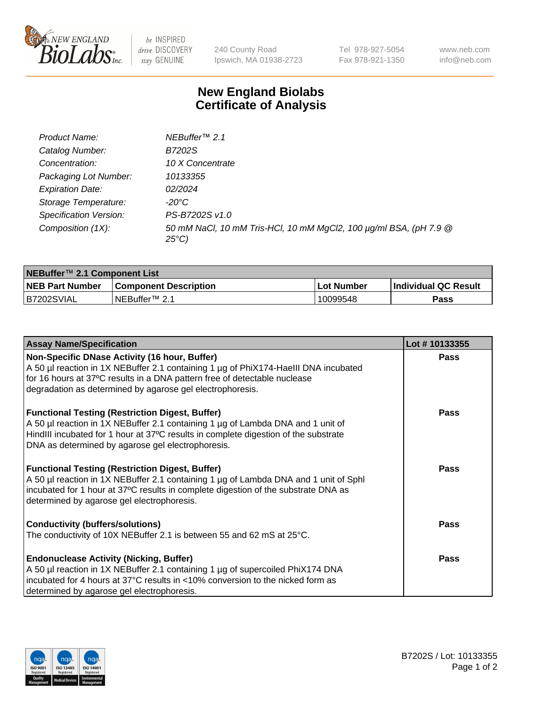

be INSPIRED drive DISCOVERY stay GENUINE

240 County Road Ipswich, MA 01938-2723 Tel 978-927-5054 Fax 978-921-1350 www.neb.com info@neb.com

## **New England Biolabs Certificate of Analysis**

| Product Name:                 | NEBuffer <sup>™</sup> 2.1                                                          |
|-------------------------------|------------------------------------------------------------------------------------|
| Catalog Number:               | B7202S                                                                             |
| Concentration:                | 10 X Concentrate                                                                   |
| Packaging Lot Number:         | 10133355                                                                           |
| <b>Expiration Date:</b>       | 02/2024                                                                            |
| Storage Temperature:          | -20°C                                                                              |
| <b>Specification Version:</b> | PS-B7202S v1.0                                                                     |
| Composition (1X):             | 50 mM NaCl, 10 mM Tris-HCl, 10 mM MgCl2, 100 µg/ml BSA, (pH 7.9 @<br>$25^{\circ}C$ |

| NEBuffer™ 2.1 Component List |                              |            |                             |  |  |
|------------------------------|------------------------------|------------|-----------------------------|--|--|
| <b>NEB Part Number</b>       | <b>Component Description</b> | Lot Number | <b>Individual QC Result</b> |  |  |
| B7202SVIAL                   | INEBuffer™ 2.1               | 10099548   | Pass                        |  |  |

| <b>Assay Name/Specification</b>                                                      | Lot #10133355 |
|--------------------------------------------------------------------------------------|---------------|
| Non-Specific DNase Activity (16 hour, Buffer)                                        | <b>Pass</b>   |
| A 50 µl reaction in 1X NEBuffer 2.1 containing 1 µg of PhiX174-HaellI DNA incubated  |               |
| for 16 hours at 37°C results in a DNA pattern free of detectable nuclease            |               |
| degradation as determined by agarose gel electrophoresis.                            |               |
| <b>Functional Testing (Restriction Digest, Buffer)</b>                               | <b>Pass</b>   |
| A 50 µl reaction in 1X NEBuffer 2.1 containing 1 µg of Lambda DNA and 1 unit of      |               |
| HindIII incubated for 1 hour at 37°C results in complete digestion of the substrate  |               |
| DNA as determined by agarose gel electrophoresis.                                    |               |
| <b>Functional Testing (Restriction Digest, Buffer)</b>                               | <b>Pass</b>   |
| A 50 µl reaction in 1X NEBuffer 2.1 containing 1 µg of Lambda DNA and 1 unit of Sphl |               |
| incubated for 1 hour at 37°C results in complete digestion of the substrate DNA as   |               |
| determined by agarose gel electrophoresis.                                           |               |
| <b>Conductivity (buffers/solutions)</b>                                              | Pass          |
| The conductivity of 10X NEBuffer 2.1 is between 55 and 62 mS at $25^{\circ}$ C.      |               |
| <b>Endonuclease Activity (Nicking, Buffer)</b>                                       | <b>Pass</b>   |
| A 50 µl reaction in 1X NEBuffer 2.1 containing 1 µg of supercoiled PhiX174 DNA       |               |
| incubated for 4 hours at 37°C results in <10% conversion to the nicked form as       |               |
| determined by agarose gel electrophoresis.                                           |               |